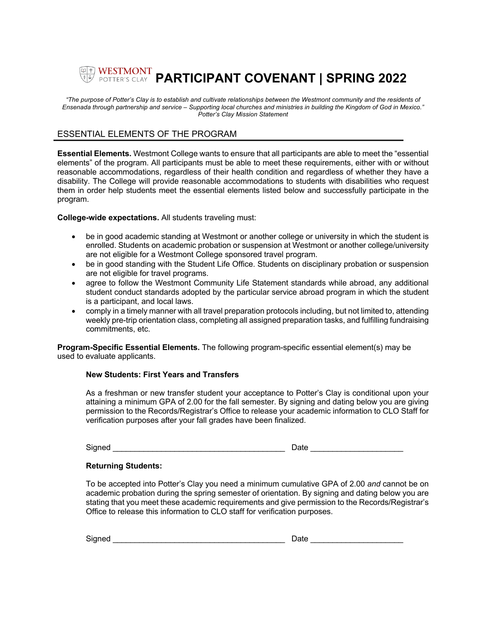# **PARTICIPANT COVENANT | SPRING 2022**

*"The purpose of Potter's Clay is to establish and cultivate relationships between the Westmont community and the residents of Ensenada through partnership and service – Supporting local churches and ministries in building the Kingdom of God in Mexico." Potter's Clay Mission Statement*

## ESSENTIAL ELEMENTS OF THE PROGRAM

**Essential Elements.** Westmont College wants to ensure that all participants are able to meet the "essential elements" of the program. All participants must be able to meet these requirements, either with or without reasonable accommodations, regardless of their health condition and regardless of whether they have a disability. The College will provide reasonable accommodations to students with disabilities who request them in order help students meet the essential elements listed below and successfully participate in the program.

**College-wide expectations.** All students traveling must:

- be in good academic standing at Westmont or another college or university in which the student is enrolled. Students on academic probation or suspension at Westmont or another college/university are not eligible for a Westmont College sponsored travel program.
- be in good standing with the Student Life Office. Students on disciplinary probation or suspension are not eligible for travel programs.
- agree to follow the Westmont Community Life Statement standards while abroad, any additional student conduct standards adopted by the particular service abroad program in which the student is a participant, and local laws.
- comply in a timely manner with all travel preparation protocols including, but not limited to, attending weekly pre-trip orientation class, completing all assigned preparation tasks, and fulfilling fundraising commitments, etc.

**Program-Specific Essential Elements.** The following program-specific essential element(s) may be used to evaluate applicants.

#### **New Students: First Years and Transfers**

As a freshman or new transfer student your acceptance to Potter's Clay is conditional upon your attaining a minimum GPA of 2.00 for the fall semester. By signing and dating below you are giving permission to the Records/Registrar's Office to release your academic information to CLO Staff for verification purposes after your fall grades have been finalized.

Signed **Example 2** and the set of the set of the set of the set of the set of the set of the set of the set of the set of the set of the set of the set of the set of the set of the set of the set of the set of the set of t

#### **Returning Students:**

To be accepted into Potter's Clay you need a minimum cumulative GPA of 2.00 *and* cannot be on academic probation during the spring semester of orientation. By signing and dating below you are stating that you meet these academic requirements and give permission to the Records/Registrar's Office to release this information to CLO staff for verification purposes.

| Signed | ⊃ate |  |
|--------|------|--|
|        |      |  |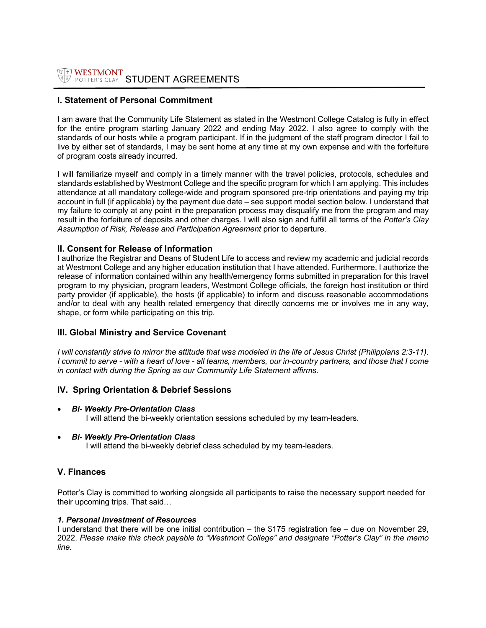# **I. Statement of Personal Commitment**

I am aware that the Community Life Statement as stated in the Westmont College Catalog is fully in effect for the entire program starting January 2022 and ending May 2022. I also agree to comply with the standards of our hosts while a program participant. If in the judgment of the staff program director I fail to live by either set of standards, I may be sent home at any time at my own expense and with the forfeiture of program costs already incurred.

I will familiarize myself and comply in a timely manner with the travel policies, protocols, schedules and standards established by Westmont College and the specific program for which I am applying. This includes attendance at all mandatory college-wide and program sponsored pre-trip orientations and paying my trip account in full (if applicable) by the payment due date – see support model section below. I understand that my failure to comply at any point in the preparation process may disqualify me from the program and may result in the forfeiture of deposits and other charges. I will also sign and fulfill all terms of the *Potter's Clay Assumption of Risk, Release and Participation Agreement* prior to departure.

## **II. Consent for Release of Information**

I authorize the Registrar and Deans of Student Life to access and review my academic and judicial records at Westmont College and any higher education institution that I have attended. Furthermore, I authorize the release of information contained within any health/emergency forms submitted in preparation for this travel program to my physician, program leaders, Westmont College officials, the foreign host institution or third party provider (if applicable), the hosts (if applicable) to inform and discuss reasonable accommodations and/or to deal with any health related emergency that directly concerns me or involves me in any way, shape, or form while participating on this trip.

## **III. Global Ministry and Service Covenant**

*I* will constantly strive to mirror the attitude that was modeled in the life of Jesus Christ (Philippians 2:3-11). *I commit to serve - with a heart of love - all teams, members, our in-country partners, and those that I come in contact with during the Spring as our Community Life Statement affirms.*

## **IV. Spring Orientation & Debrief Sessions**

- *Bi- Weekly Pre-Orientation Class* I will attend the bi-weekly orientation sessions scheduled by my team-leaders.
- *Bi- Weekly Pre-Orientation Class* I will attend the bi-weekly debrief class scheduled by my team-leaders.

#### **V. Finances**

Potter's Clay is committed to working alongside all participants to raise the necessary support needed for their upcoming trips. That said…

#### *1. Personal Investment of Resources*

I understand that there will be one initial contribution – the \$175 registration fee – due on November 29, 2022. *Please make this check payable to "Westmont College" and designate "Potter's Clay" in the memo line.*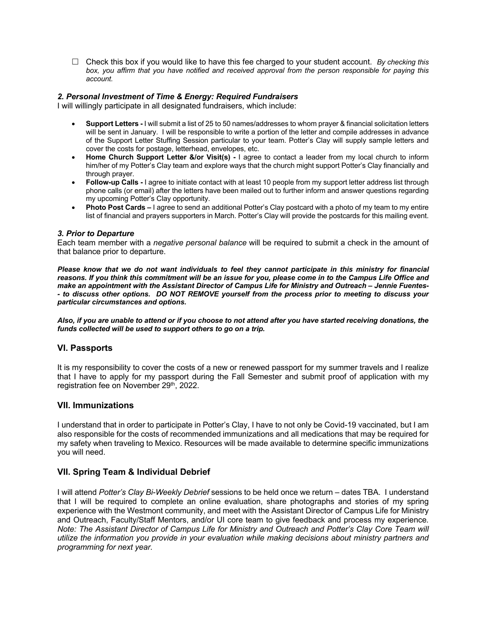£ Check this box if you would like to have this fee charged to your student account. *By checking this box, you affirm that you have notified and received approval from the person responsible for paying this account.*

### *2. Personal Investment of Time & Energy: Required Fundraisers*

I will willingly participate in all designated fundraisers, which include:

- **Support Letters -** I will submit a list of 25 to 50 names/addresses to whom prayer & financial solicitation letters will be sent in January. I will be responsible to write a portion of the letter and compile addresses in advance of the Support Letter Stuffing Session particular to your team. Potter's Clay will supply sample letters and cover the costs for postage, letterhead, envelopes, etc.
- **Home Church Support Letter &/or Visit(s) -** I agree to contact a leader from my local church to inform him/her of my Potter's Clay team and explore ways that the church might support Potter's Clay financially and through prayer.
- **Follow-up Calls -** I agree to initiate contact with at least 10 people from my support letter address list through phone calls (or email) after the letters have been mailed out to further inform and answer questions regarding my upcoming Potter's Clay opportunity.
- **Photo Post Cards –** I agree to send an additional Potter's Clay postcard with a photo of my team to my entire list of financial and prayers supporters in March. Potter's Clay will provide the postcards for this mailing event.

#### *3. Prior to Departure*

Each team member with a *negative personal balance* will be required to submit a check in the amount of that balance prior to departure.

*Please know that we do not want individuals to feel they cannot participate in this ministry for financial reasons. If you think this commitment will be an issue for you, please come in to the Campus Life Office and make an appointment with the Assistant Director of Campus Life for Ministry and Outreach – Jennie Fuentes- - to discuss other options. DO NOT REMOVE yourself from the process prior to meeting to discuss your particular circumstances and options.*

*Also, if you are unable to attend or if you choose to not attend after you have started receiving donations, the funds collected will be used to support others to go on a trip.* 

#### **VI. Passports**

It is my responsibility to cover the costs of a new or renewed passport for my summer travels and I realize that I have to apply for my passport during the Fall Semester and submit proof of application with my registration fee on November 29<sup>th</sup>, 2022.

#### **VII. Immunizations**

I understand that in order to participate in Potter's Clay, I have to not only be Covid-19 vaccinated, but I am also responsible for the costs of recommended immunizations and all medications that may be required for my safety when traveling to Mexico. Resources will be made available to determine specific immunizations you will need.

## **VII. Spring Team & Individual Debrief**

I will attend *Potter's Clay Bi-Weekly Debrief* sessions to be held once we return – dates TBA. I understand that I will be required to complete an online evaluation, share photographs and stories of my spring experience with the Westmont community, and meet with the Assistant Director of Campus Life for Ministry and Outreach, Faculty/Staff Mentors, and/or UI core team to give feedback and process my experience*. Note: The Assistant Director of Campus Life for Ministry and Outreach and Potter's Clay Core Team will utilize the information you provide in your evaluation while making decisions about ministry partners and programming for next year.*